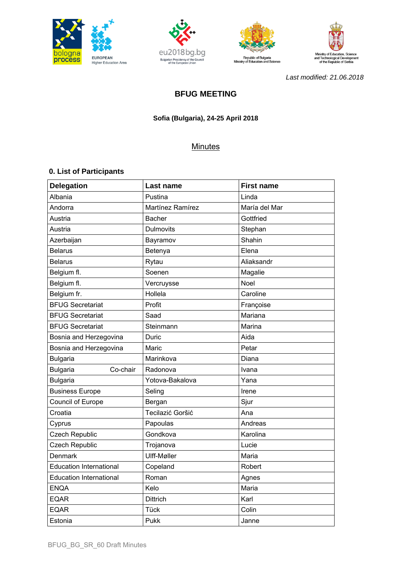







*Last modified: 21.06.2018* 

# **BFUG MEETING**

## **Sofia (Bulgaria), 24-25 April 2018**

## **Minutes**

## **0. List of Participants**

| <b>Delegation</b>              | Last name        | <b>First name</b> |
|--------------------------------|------------------|-------------------|
| Albania                        | Pustina          | Linda             |
| Andorra                        | Martínez Ramírez | María del Mar     |
| Austria                        | <b>Bacher</b>    | Gottfried         |
| Austria                        | <b>Dulmovits</b> | Stephan           |
| Azerbaijan                     | Bayramov         | Shahin            |
| <b>Belarus</b>                 | Betenya          | Elena             |
| <b>Belarus</b>                 | Rytau            | Aliaksandr        |
| Belgium fl.                    | Soenen           | Magalie           |
| Belgium fl.                    | Vercruysse       | <b>Noel</b>       |
| Belgium fr.                    | Hollela          | Caroline          |
| <b>BFUG Secretariat</b>        | Profit           | Françoise         |
| <b>BFUG Secretariat</b>        | Saad             | Mariana           |
| <b>BFUG Secretariat</b>        | Steinmann        | Marina            |
| Bosnia and Herzegovina         | Duric            | Aida              |
| Bosnia and Herzegovina         | Maric            | Petar             |
| <b>Bulgaria</b>                | Marinkova        | Diana             |
| Co-chair<br><b>Bulgaria</b>    | Radonova         | Ivana             |
| <b>Bulgaria</b>                | Yotova-Bakalova  | Yana              |
| <b>Business Europe</b>         | Seling           | Irene             |
| Council of Europe              | Bergan           | Sjur              |
| Croatia                        | Tecilazić Goršić | Ana               |
| Cyprus                         | Papoulas         | Andreas           |
| <b>Czech Republic</b>          | Gondkova         | Karolina          |
| <b>Czech Republic</b>          | Trojanova        | Lucie             |
| Denmark                        | Ulff-Møller      | Maria             |
| <b>Education International</b> | Copeland         | Robert            |
| <b>Education International</b> | Roman            | Agnes             |
| <b>ENQA</b>                    | Kelo             | Maria             |
| <b>EQAR</b>                    | <b>Dittrich</b>  | Karl              |
| <b>EQAR</b>                    | Tück             | Colin             |
| Estonia                        | Pukk             | Janne             |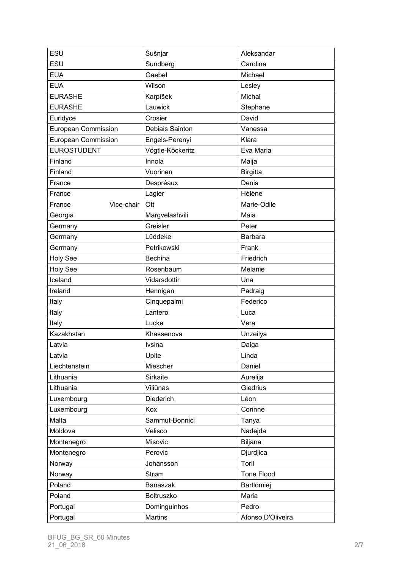| ESU                        | Šušnjar          | Aleksandar        |
|----------------------------|------------------|-------------------|
| ESU                        | Sundberg         | Caroline          |
| <b>EUA</b>                 | Gaebel           | Michael           |
| <b>EUA</b>                 | Wilson           | Lesley            |
| <b>EURASHE</b>             | Karpíšek         | Michal            |
| <b>EURASHE</b>             | Lauwick          | Stephane          |
| Euridyce                   | Crosier          | David             |
| <b>European Commission</b> | Debiais Sainton  | Vanessa           |
| European Commission        | Engels-Perenyi   | Klara             |
| <b>EUROSTUDENT</b>         | Vögtle-Köckeritz | Eva Maria         |
| Finland                    | Innola           | Maija             |
| Finland                    | Vuorinen         | <b>Birgitta</b>   |
| France                     | Despréaux        | Denis             |
| France                     | Lagier           | Hélène            |
| Vice-chair<br>France       | Ott              | Marie-Odile       |
| Georgia                    | Margvelashvili   | Maia              |
| Germany                    | Greisler         | Peter             |
| Germany                    | Lüddeke          | Barbara           |
| Germany                    | Petrikowski      | Frank             |
| <b>Holy See</b>            | <b>Bechina</b>   | Friedrich         |
| <b>Holy See</b>            | Rosenbaum        | Melanie           |
| Iceland                    | Vidarsdottir     | Una               |
| Ireland                    | Hennigan         | Padraig           |
| Italy                      | Cinquepalmi      | Federico          |
| Italy                      | Lantero          | Luca              |
| Italy                      | Lucke            | Vera              |
| Kazakhstan                 | Khassenova       | Unzeilya          |
| Latvia                     | Ivsina           | Daiga             |
| Latvia                     | Upite            | Linda             |
| Liechtenstein              | Miescher         | Daniel            |
| Lithuania                  | Sirkaite         | Aurelija          |
| Lithuania                  | Viliūnas         | Giedrius          |
| Luxembourg                 | Diederich        | Léon              |
| Luxembourg                 | Kox              | Corinne           |
| Malta                      | Sammut-Bonnici   | Tanya             |
| Moldova                    | Velisco          | Nadejda           |
| Montenegro                 | Misovic          | Biljana           |
| Montenegro                 | Perovic          | Djurdjica         |
| Norway                     | Johansson        | Toril             |
| Norway                     | Strøm            | Tone Flood        |
| Poland                     | Banaszak         | Bartlomiej        |
| Poland                     | Boltruszko       | Maria             |
| Portugal                   | Dominguinhos     | Pedro             |
| Portugal                   | <b>Martins</b>   | Afonso D'Oliveira |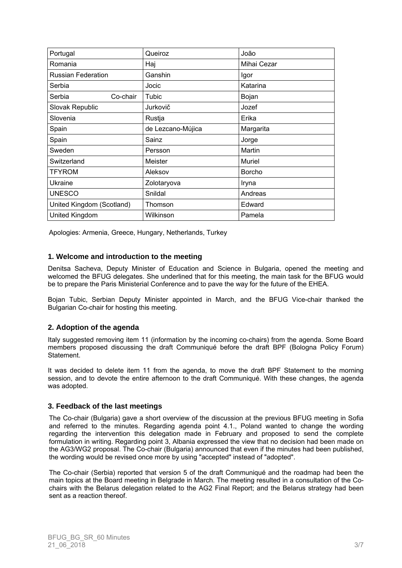| Portugal                  | Queiroz           | João        |
|---------------------------|-------------------|-------------|
| Romania                   | Haj               | Mihai Cezar |
| <b>Russian Federation</b> | Ganshin           | Igor        |
| Serbia                    | Jocic             | Katarina    |
| Serbia<br>Co-chair        | Tubic             | Bojan       |
| Slovak Republic           | Jurkovič          | Jozef       |
| Slovenia                  | Rustja            | Erika       |
| Spain                     | de Lezcano-Mújica | Margarita   |
| Spain                     | Sainz             | Jorge       |
| Sweden                    | Persson           | Martin      |
| Switzerland               | Meister           | Muriel      |
| <b>TFYROM</b>             | Aleksov           | Borcho      |
| Ukraine                   | Zolotaryova       | Iryna       |
| <b>UNESCO</b>             | Snildal           | Andreas     |
| United Kingdom (Scotland) | Thomson           | Edward      |
| United Kingdom            | Wilkinson         | Pamela      |

Apologies: Armenia, Greece, Hungary, Netherlands, Turkey

#### **1. Welcome and introduction to the meeting**

Denitsa Sacheva, Deputy Minister of Education and Science in Bulgaria, opened the meeting and welcomed the BFUG delegates. She underlined that for this meeting, the main task for the BFUG would be to prepare the Paris Ministerial Conference and to pave the way for the future of the EHEA.

Bojan Tubic, Serbian Deputy Minister appointed in March, and the BFUG Vice-chair thanked the Bulgarian Co-chair for hosting this meeting.

## **2. Adoption of the agenda**

Italy suggested removing item 11 (information by the incoming co-chairs) from the agenda. Some Board members proposed discussing the draft Communiqué before the draft BPF (Bologna Policy Forum) Statement.

It was decided to delete item 11 from the agenda, to move the draft BPF Statement to the morning session, and to devote the entire afternoon to the draft Communiqué. With these changes, the agenda was adopted.

#### **3. Feedback of the last meetings**

The Co-chair (Bulgaria) gave a short overview of the discussion at the previous BFUG meeting in Sofia and referred to the minutes. Regarding agenda point 4.1., Poland wanted to change the wording regarding the intervention this delegation made in February and proposed to send the complete formulation in writing. Regarding point 3, Albania expressed the view that no decision had been made on the AG3/WG2 proposal. The Co-chair (Bulgaria) announced that even if the minutes had been published, the wording would be revised once more by using "accepted" instead of "adopted".

The Co-chair (Serbia) reported that version 5 of the draft Communiqué and the roadmap had been the main topics at the Board meeting in Belgrade in March. The meeting resulted in a consultation of the Cochairs with the Belarus delegation related to the AG2 Final Report; and the Belarus strategy had been sent as a reaction thereof.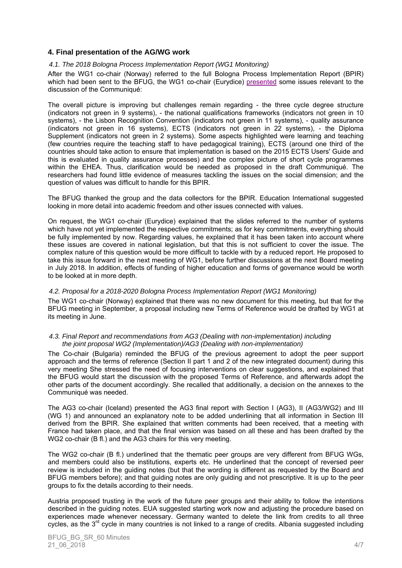## **4. Final presentation of the AG/WG work**

#### *4.1. The 2018 Bologna Process Implementation Report (WG1 Monitoring)*

After the WG1 co-chair (Norway) referred to the full Bologna Process Implementation Report (BPIR) which had been sent to the BFUG, the WG1 co-chair (Eurydice) [presented](http://www.ehea.info/media.ehea.info/file/20180424-25-Sofia/62/5/BFUG_BG_SR_60_4a_PresBPIR2018_940625.pdf) some issues relevant to the discussion of the Communiqué:

The overall picture is improving but challenges remain regarding - the three cycle degree structure (indicators not green in 9 systems), - the national qualifications frameworks (indicators not green in 10 systems), - the Lisbon Recognition Convention (indicators not green in 11 systems), - quality assurance (indicators not green in 16 systems), ECTS (indicators not green in 22 systems), - the Diploma Supplement (indicators not green in 2 systems). Some aspects highlighted were learning and teaching (few countries require the teaching staff to have pedagogical training), ECTS (around one third of the countries should take action to ensure that implementation is based on the 2015 ECTS Users' Guide and this is evaluated in quality assurance processes) and the complex picture of short cycle programmes within the EHEA. Thus, clarification would be needed as proposed in the draft Communiqué. The researchers had found little evidence of measures tackling the issues on the social dimension; and the question of values was difficult to handle for this BPIR.

The BFUG thanked the group and the data collectors for the BPIR. Education International suggested looking in more detail into academic freedom and other issues connected with values.

On request, the WG1 co-chair (Eurydice) explained that the slides referred to the number of systems which have not yet implemented the respective commitments; as for key commitments, everything should be fully implemented by now. Regarding values, he explained that it has been taken into account where these issues are covered in national legislation, but that this is not sufficient to cover the issue. The complex nature of this question would be more difficult to tackle with by a reduced report. He proposed to take this issue forward in the next meeting of WG1, before further discussions at the next Board meeting in July 2018. In addition, effects of funding of higher education and forms of governance would be worth to be looked at in more depth.

#### *4.2. Proposal for a 2018-2020 Bologna Process Implementation Report (WG1 Monitoring)*

The WG1 co-chair (Norway) explained that there was no new document for this meeting, but that for the BFUG meeting in September, a proposal including new Terms of Reference would be drafted by WG1 at its meeting in June.

#### *4.3. Final Report and recommendations from AG3 (Dealing with non-implementation) including the joint proposal WG2 (Implementation)/AG3 (Dealing with non-implementation)*

The Co-chair (Bulgaria) reminded the BFUG of the previous agreement to adopt the peer support approach and the terms of reference (Section II part 1 and 2 of the new integrated document) during this very meeting She stressed the need of focusing interventions on clear suggestions, and explained that the BFUG would start the discussion with the proposed Terms of Reference, and afterwards adopt the other parts of the document accordingly. She recalled that additionally, a decision on the annexes to the Communiqué was needed.

The AG3 co-chair (Iceland) presented the AG3 final report with Section I (AG3), II (AG3/WG2) and III (WG 1) and announced an explanatory note to be added underlining that all information in Section III derived from the BPIR. She explained that written comments had been received, that a meeting with France had taken place, and that the final version was based on all these and has been drafted by the WG2 co-chair (B fl.) and the AG3 chairs for this very meeting.

The WG2 co-chair (B fl.) underlined that the thematic peer groups are very different from BFUG WGs, and members could also be institutions, experts etc. He underlined that the concept of reversed peer review is included in the guiding notes (but that the wording is different as requested by the Board and BFUG members before); and that guiding notes are only guiding and not prescriptive. It is up to the peer groups to fix the details according to their needs.

Austria proposed trusting in the work of the future peer groups and their ability to follow the intentions described in the guiding notes. EUA suggested starting work now and adjusting the procedure based on experiences made whenever necessary. Germany wanted to delete the link from credits to all three cycles, as the 3<sup>rd</sup> cycle in many countries is not linked to a range of credits. Albania suggested including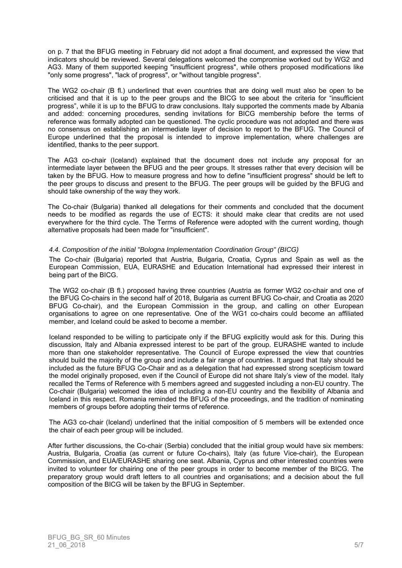on p. 7 that the BFUG meeting in February did not adopt a final document, and expressed the view that indicators should be reviewed. Several delegations welcomed the compromise worked out by WG2 and AG3. Many of them supported keeping "insufficient progress", while others proposed modifications like "only some progress", "lack of progress", or "without tangible progress".

The WG2 co-chair (B fl.) underlined that even countries that are doing well must also be open to be criticised and that it is up to the peer groups and the BICG to see about the criteria for "insufficient progress", while it is up to the BFUG to draw conclusions. Italy supported the comments made by Albania and added: concerning procedures, sending invitations for BICG membership before the terms of reference was formally adopted can be questioned. The cyclic procedure was not adopted and there was no consensus on establishing an intermediate layer of decision to report to the BFUG. The Council of Europe underlined that the proposal is intended to improve implementation, where challenges are identified, thanks to the peer support.

The AG3 co-chair (Iceland) explained that the document does not include any proposal for an intermediate layer between the BFUG and the peer groups. It stresses rather that every decision will be taken by the BFUG. How to measure progress and how to define "insufficient progress" should be left to the peer groups to discuss and present to the BFUG. The peer groups will be guided by the BFUG and should take ownership of the way they work.

The Co-chair (Bulgaria) thanked all delegations for their comments and concluded that the document needs to be modified as regards the use of ECTS: it should make clear that credits are not used everywhere for the third cycle. The Terms of Reference were adopted with the current wording, though alternative proposals had been made for "insufficient".

#### *4.4. Composition of the initial "Bologna Implementation Coordination Group" (BICG)*

The Co-chair (Bulgaria) reported that Austria, Bulgaria, Croatia, Cyprus and Spain as well as the European Commission, EUA, EURASHE and Education International had expressed their interest in being part of the BICG.

The WG2 co-chair (B fl.) proposed having three countries (Austria as former WG2 co-chair and one of the BFUG Co-chairs in the second half of 2018, Bulgaria as current BFUG Co-chair, and Croatia as 2020 BFUG Co-chair), and the European Commission in the group, and calling on other European organisations to agree on one representative. One of the WG1 co-chairs could become an affiliated member, and Iceland could be asked to become a member.

Iceland responded to be willing to participate only if the BFUG explicitly would ask for this. During this discussion, Italy and Albania expressed interest to be part of the group. EURASHE wanted to include more than one stakeholder representative. The Council of Europe expressed the view that countries should build the majority of the group and include a fair range of countries. It argued that Italy should be included as the future BFUG Co-Chair and as a delegation that had expressed strong scepticism toward the model originally proposed, even if the Council of Europe did not share Italy's view of the model. Italy recalled the Terms of Reference with 5 members agreed and suggested including a non-EU country. The Co-chair (Bulgaria) welcomed the idea of including a non-EU country and the flexibility of Albania and Iceland in this respect. Romania reminded the BFUG of the proceedings, and the tradition of nominating members of groups before adopting their terms of reference.

The AG3 co-chair (Iceland) underlined that the initial composition of 5 members will be extended once the chair of each peer group will be included.

After further discussions, the Co-chair (Serbia) concluded that the initial group would have six members: Austria, Bulgaria, Croatia (as current or future Co-chairs), Italy (as future Vice-chair), the European Commission, and EUA/EURASHE sharing one seat. Albania, Cyprus and other interested countries were invited to volunteer for chairing one of the peer groups in order to become member of the BICG. The preparatory group would draft letters to all countries and organisations; and a decision about the full composition of the BICG will be taken by the BFUG in September.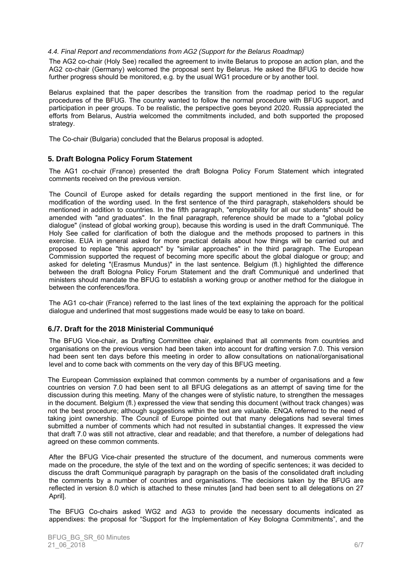#### *4.4. Final Report and recommendations from AG2 (Support for the Belarus Roadmap)*

The AG2 co-chair (Holy See) recalled the agreement to invite Belarus to propose an action plan, and the AG2 co-chair (Germany) welcomed the proposal sent by Belarus. He asked the BFUG to decide how further progress should be monitored, e.g. by the usual WG1 procedure or by another tool.

Belarus explained that the paper describes the transition from the roadmap period to the regular procedures of the BFUG. The country wanted to follow the normal procedure with BFUG support, and participation in peer groups. To be realistic, the perspective goes beyond 2020. Russia appreciated the efforts from Belarus, Austria welcomed the commitments included, and both supported the proposed strategy.

The Co-chair (Bulgaria) concluded that the Belarus proposal is adopted.

#### **5. Draft Bologna Policy Forum Statement**

The AG1 co-chair (France) presented the draft Bologna Policy Forum Statement which integrated comments received on the previous version.

The Council of Europe asked for details regarding the support mentioned in the first line, or for modification of the wording used. In the first sentence of the third paragraph, stakeholders should be mentioned in addition to countries. In the fifth paragraph, "employability for all our students" should be amended with "and graduates". In the final paragraph, reference should be made to a "global policy dialogue" (instead of global working group), because this wording is used in the draft Communiqué. The Holy See called for clarification of both the dialogue and the methods proposed to partners in this exercise. EUA in general asked for more practical details about how things will be carried out and proposed to replace "this approach" by "similar approaches" in the third paragraph. The European Commission supported the request of becoming more specific about the global dialogue or group; and asked for deleting "(Erasmus Mundus)" in the last sentence. Belgium (fl.) highlighted the difference between the draft Bologna Policy Forum Statement and the draft Communiqué and underlined that ministers should mandate the BFUG to establish a working group or another method for the dialogue in between the conferences/fora.

The AG1 co-chair (France) referred to the last lines of the text explaining the approach for the political dialogue and underlined that most suggestions made would be easy to take on board.

## **6./7. Draft for the 2018 Ministerial Communiqué**

The BFUG Vice-chair, as Drafting Committee chair, explained that all comments from countries and organisations on the previous version had been taken into account for drafting version 7.0. This version had been sent ten days before this meeting in order to allow consultations on national/organisational level and to come back with comments on the very day of this BFUG meeting.

The European Commission explained that common comments by a number of organisations and a few countries on version 7.0 had been sent to all BFUG delegations as an attempt of saving time for the discussion during this meeting. Many of the changes were of stylistic nature, to strengthen the messages in the document. Belgium (fl.) expressed the view that sending this document (without track changes) was not the best procedure; although suggestions within the text are valuable. ENQA referred to the need of taking joint ownership. The Council of Europe pointed out that many delegations had several times submitted a number of comments which had not resulted in substantial changes. It expressed the view that draft 7.0 was still not attractive, clear and readable; and that therefore, a number of delegations had agreed on these common comments.

After the BFUG Vice-chair presented the structure of the document, and numerous comments were made on the procedure, the style of the text and on the wording of specific sentences; it was decided to discuss the draft Communiqué paragraph by paragraph on the basis of the consolidated draft including the comments by a number of countries and organisations. The decisions taken by the BFUG are reflected in version 8.0 which is attached to these minutes [and had been sent to all delegations on 27 April].

The BFUG Co-chairs asked WG2 and AG3 to provide the necessary documents indicated as appendixes: the proposal for "Support for the Implementation of Key Bologna Commitments", and the